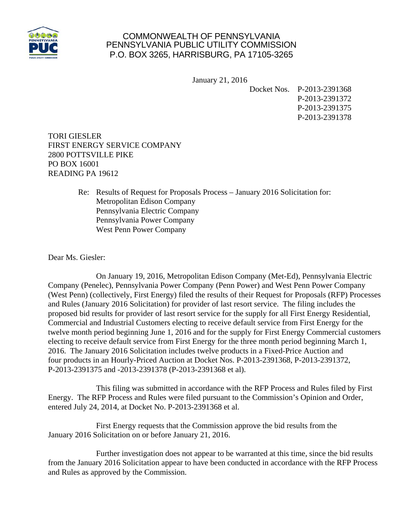

## COMMONWEALTH OF PENNSYLVANIA PENNSYLVANIA PUBLIC UTILITY COMMISSION P.O. BOX 3265, HARRISBURG, PA 17105-3265

January 21, 2016

Docket Nos. P-2013-2391368

P-2013-2391372 P-2013-2391375 P-2013-2391378

TORI GIESLER FIRST ENERGY SERVICE COMPANY 2800 POTTSVILLE PIKE PO BOX 16001 READING PA 19612

> Re: Results of Request for Proposals Process – January 2016 Solicitation for: Metropolitan Edison Company Pennsylvania Electric Company Pennsylvania Power Company West Penn Power Company

Dear Ms. Giesler:

 On January 19, 2016, Metropolitan Edison Company (Met-Ed), Pennsylvania Electric Company (Penelec), Pennsylvania Power Company (Penn Power) and West Penn Power Company (West Penn) (collectively, First Energy) filed the results of their Request for Proposals (RFP) Processes and Rules (January 2016 Solicitation) for provider of last resort service. The filing includes the proposed bid results for provider of last resort service for the supply for all First Energy Residential, Commercial and Industrial Customers electing to receive default service from First Energy for the twelve month period beginning June 1, 2016 and for the supply for First Energy Commercial customers electing to receive default service from First Energy for the three month period beginning March 1, 2016. The January 2016 Solicitation includes twelve products in a Fixed-Price Auction and four products in an Hourly-Priced Auction at Docket Nos. P-2013-2391368, P-2013-2391372, P-2013-2391375 and -2013-2391378 (P-2013-2391368 et al).

 This filing was submitted in accordance with the RFP Process and Rules filed by First Energy. The RFP Process and Rules were filed pursuant to the Commission's Opinion and Order, entered July 24, 2014, at Docket No. P-2013-2391368 et al.

 First Energy requests that the Commission approve the bid results from the January 2016 Solicitation on or before January 21, 2016.

 Further investigation does not appear to be warranted at this time, since the bid results from the January 2016 Solicitation appear to have been conducted in accordance with the RFP Process and Rules as approved by the Commission.